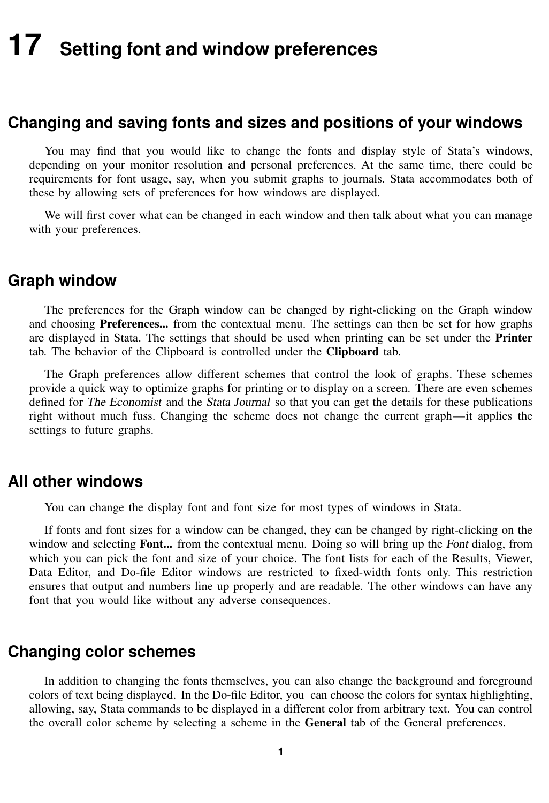# <span id="page-0-0"></span>**17 Setting font and window preferences**

## **Changing and saving fonts and sizes and positions of your windows**

You may find that you would like to change the fonts and display style of Stata's windows, depending on your monitor resolution and personal preferences. At the same time, there could be requirements for font usage, say, when you submit graphs to journals. Stata accommodates both of these by allowing sets of preferences for how windows are displayed.

We will first cover what can be changed in each window and then talk about what you can manage with your preferences.

#### **Graph window**

The preferences for the Graph window can be changed by right-clicking on the Graph window and choosing **Preferences...** from the contextual menu. The settings can then be set for how graphs are displayed in Stata. The settings that should be used when printing can be set under the **Printer** tab. The behavior of the Clipboard is controlled under the Clipboard tab.

The Graph preferences allow different schemes that control the look of graphs. These schemes provide a quick way to optimize graphs for printing or to display on a screen. There are even schemes defined for The Economist and the Stata Journal so that you can get the details for these publications right without much fuss. Changing the scheme does not change the current graph—it applies the settings to future graphs.

## **All other windows**

You can change the display font and font size for most types of windows in Stata.

If fonts and font sizes for a window can be changed, they can be changed by right-clicking on the window and selecting **Font...** from the contextual menu. Doing so will bring up the Font dialog, from which you can pick the font and size of your choice. The font lists for each of the Results, Viewer, Data Editor, and Do-file Editor windows are restricted to fixed-width fonts only. This restriction ensures that output and numbers line up properly and are readable. The other windows can have any font that you would like without any adverse consequences.

## **Changing color schemes**

In addition to changing the fonts themselves, you can also change the background and foreground colors of text being displayed. In the Do-file Editor, you can choose the colors for syntax highlighting, allowing, say, Stata commands to be displayed in a different color from arbitrary text. You can control the overall color scheme by selecting a scheme in the **General** tab of the General preferences.